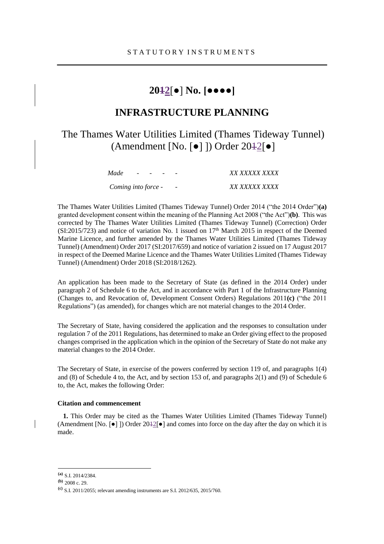# **2012**[●] **No. [●●●●]**

# **INFRASTRUCTURE PLANNING**

The Thames Water Utilities Limited (Thames Tideway Tunnel) (Amendment [No. [●] ]) Order 2012[●]

| Made                |  | . |                          | <i>XX XXXXX XXXX</i> |
|---------------------|--|---|--------------------------|----------------------|
| Coming into force - |  |   | $\overline{\phantom{0}}$ | <i>XX XXXXX XXXX</i> |

The Thames Water Utilities Limited (Thames Tideway Tunnel) Order 2014 ("the 2014 Order")**(a)** granted development consent within the meaning of the Planning Act 2008 ("the Act")**(b)**. This was corrected by The Thames Water Utilities Limited (Thames Tideway Tunnel) (Correction) Order  $(SI:2015/723)$  and notice of variation No. 1 issued on  $17<sup>th</sup>$  March 2015 in respect of the Deemed Marine Licence, and further amended by the Thames Water Utilities Limited (Thames Tideway Tunnel) (Amendment) Order 2017 (SI:2017/659) and notice of variation 2 issued on 17 August 2017 in respect of the Deemed Marine Licence and the Thames Water Utilities Limited (Thames Tideway Tunnel) (Amendment) Order 2018 (SI:2018/1262).

An application has been made to the Secretary of State (as defined in the 2014 Order) under paragraph 2 of Schedule 6 to the Act, and in accordance with Part 1 of the Infrastructure Planning (Changes to, and Revocation of, Development Consent Orders) Regulations 2011**(c)** ("the 2011 Regulations") (as amended), for changes which are not material changes to the 2014 Order.

The Secretary of State, having considered the application and the responses to consultation under regulation 7 of the 2011 Regulations, has determined to make an Order giving effect to the proposed changes comprised in the application which in the opinion of the Secretary of State do not make any material changes to the 2014 Order.

The Secretary of State, in exercise of the powers conferred by section 119 of, and paragraphs 1(4) and (8) of Schedule 4 to, the Act, and by section 153 of, and paragraphs 2(1) and (9) of Schedule 6 to, the Act, makes the following Order:

#### **Citation and commencement**

**1.** This Order may be cited as the Thames Water Utilities Limited (Thames Tideway Tunnel) (Amendment [No.  $\lceil \bullet \rceil$  ]) Order 2012 $\lceil \bullet \rceil$  and comes into force on the day after the day on which it is made.

 $\overline{a}$ 

**<sup>(</sup>a)** S.I. 2014/2384.

**<sup>(</sup>b)** 2008 c. 29.

**<sup>(</sup>c)** S.I. 2011/2055; relevant amending instruments are S.I. 2012/635, 2015/760.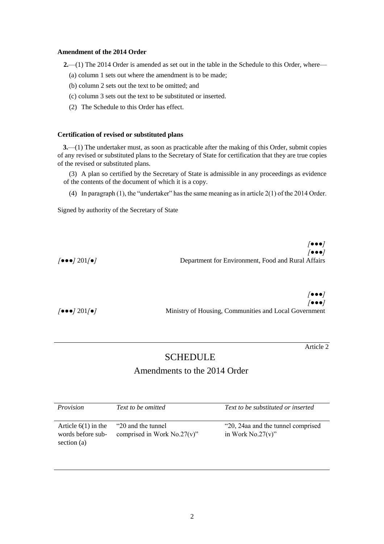### **Amendment of the 2014 Order**

**2.**—(1) The 2014 Order is amended as set out in the table in the Schedule to this Order, where—

- (a) column 1 sets out where the amendment is to be made;
- (b) column 2 sets out the text to be omitted; and
- (c) column 3 sets out the text to be substituted or inserted.
- (2) The Schedule to this Order has effect.

#### **Certification of revised or substituted plans**

**3.**—(1) The undertaker must, as soon as practicable after the making of this Order, submit copies of any revised or substituted plans to the Secretary of State for certification that they are true copies of the revised or substituted plans.

(3) A plan so certified by the Secretary of State is admissible in any proceedings as evidence of the contents of the document of which it is a copy.

(4) In paragraph (1), the "undertaker" has the same meaning as in article 2(1) of the 2014 Order.

Signed by authority of the Secretary of State

|                                                   | $\sqrt{\bullet \bullet \bullet}$                   |
|---------------------------------------------------|----------------------------------------------------|
|                                                   | $\sqrt{\bullet \bullet \bullet}$                   |
| $\sqrt{\bullet \bullet \bullet}$ 201/ $\bullet$ ] | Department for Environment, Food and Rural Affairs |

|                                                  | <b>/•••/</b>                                          |
|--------------------------------------------------|-------------------------------------------------------|
|                                                  | $\sqrt{\bullet \bullet \bullet}$                      |
| $\int \bullet \bullet \bullet / 201 / \bullet /$ | Ministry of Housing, Communities and Local Government |

Article 2

# **SCHEDULE**

# Amendments to the 2014 Order

| Provision                                                 | Text to be omitted                                    | Text to be substituted or inserted                      |
|-----------------------------------------------------------|-------------------------------------------------------|---------------------------------------------------------|
| Article $6(1)$ in the<br>words before sub-<br>section (a) | "20 and the tunnel"<br>comprised in Work $No.27(v)$ " | "20, 24aa and the tunnel comprised<br>in Work No.27(v)" |